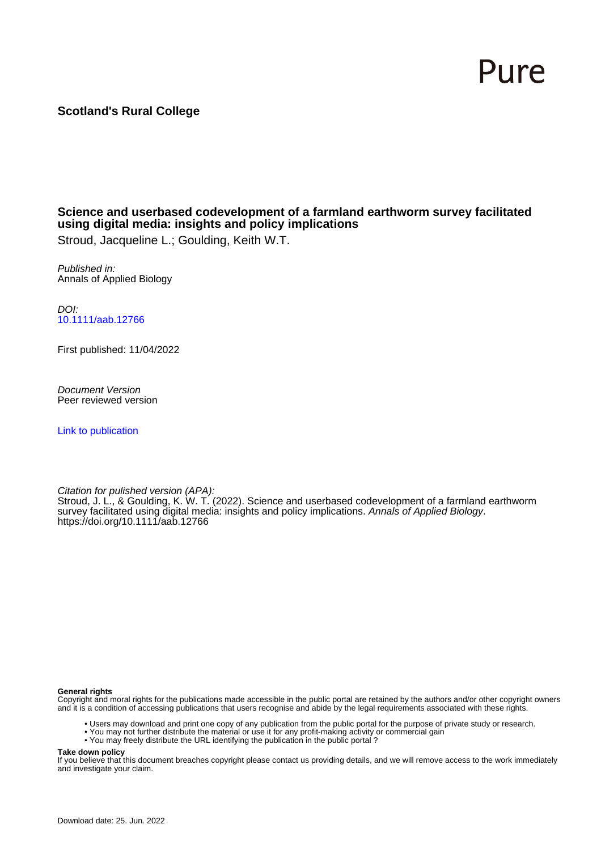# Pure

#### **Scotland's Rural College**

#### **Science and userbased codevelopment of a farmland earthworm survey facilitated using digital media: insights and policy implications**

Stroud, Jacqueline L.; Goulding, Keith W.T.

Published in: Annals of Applied Biology

DOI: [10.1111/aab.12766](https://doi.org/10.1111/aab.12766)

First published: 11/04/2022

Document Version Peer reviewed version

[Link to publication](https://pure.sruc.ac.uk/en/publications/3c9b38ca-764a-494c-8cac-b46e6ca0a949)

Citation for pulished version (APA):

Stroud, J. L., & Goulding, K. W. T. (2022). Science and userbased codevelopment of a farmland earthworm survey facilitated using digital media: insights and policy implications. Annals of Applied Biology. <https://doi.org/10.1111/aab.12766>

**General rights**

Copyright and moral rights for the publications made accessible in the public portal are retained by the authors and/or other copyright owners and it is a condition of accessing publications that users recognise and abide by the legal requirements associated with these rights.

- Users may download and print one copy of any publication from the public portal for the purpose of private study or research.
- You may not further distribute the material or use it for any profit-making activity or commercial gain
- You may freely distribute the URL identifying the publication in the public portal ?

**Take down policy**

If you believe that this document breaches copyright please contact us providing details, and we will remove access to the work immediately and investigate your claim.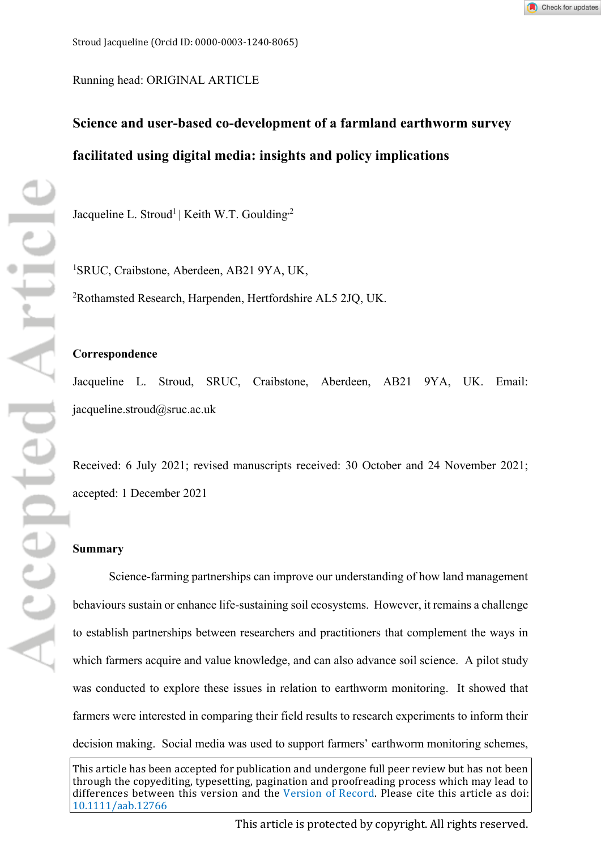

Running head: ORIGINAL ARTICLE

## **Science and user-based co-development of a farmland earthworm survey facilitated using digital media: insights and policy implications**

Jacqueline L. Stroud<sup>1</sup> | Keith W.T. Goulding<sup>2</sup>

1 SRUC, Craibstone, Aberdeen, AB21 9YA, UK, 2 Rothamsted Research, Harpenden, Hertfordshire AL5 2JQ, UK.

#### **Correspondence**

Jacqueline L. Stroud, SRUC, Craibstone, Aberdeen, AB21 9YA, UK. Email: jacqueline.stroud@sruc.ac.uk

Received: 6 July 2021; revised manuscripts received: 30 October and 24 November 2021; accepted: 1 December 2021

#### **Summary**

Science-farming partnerships can improve our understanding of how land management behaviours sustain or enhance life-sustaining soil ecosystems. However, it remains a challenge to establish partnerships between researchers and practitioners that complement the ways in which farmers acquire and value knowledge, and can also advance soil science. A pilot study was conducted to explore these issues in relation to earthworm monitoring. It showed that farmers were interested in comparing their field results to research experiments to inform their decision making. Social media was used to support farmers' earthworm monitoring schemes,

This article has been accepted for publication and undergone full peer review but has not been through the copyediting, typesetting, pagination and proofreading process which may lead to differences between this version and the [Version of Record](http://dx.doi.org/10.1111/aab.12766). Please cite this article as doi: [10.1111/aab.12766](http://dx.doi.org/10.1111/aab.12766)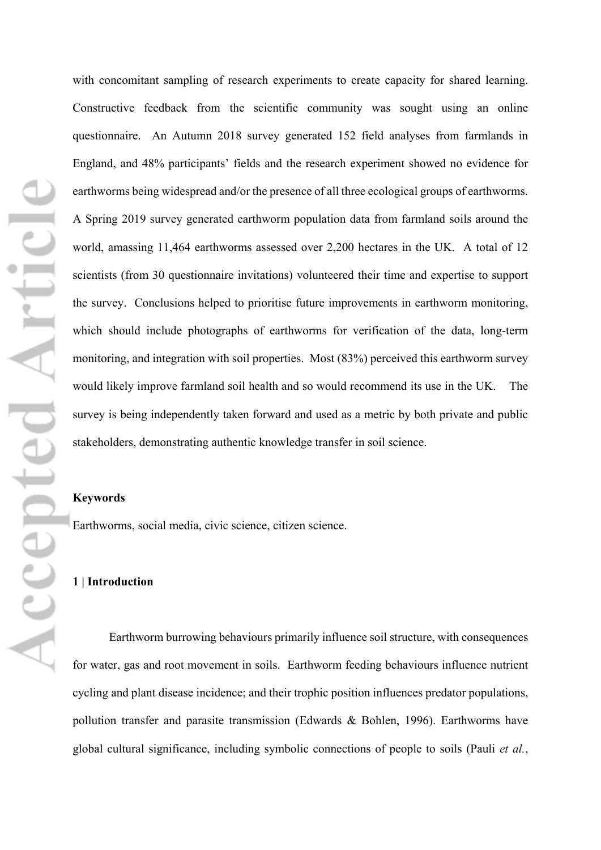with concomitant sampling of research experiments to create capacity for shared learning. Constructive feedback from the scientific community was sought using an online questionnaire. An Autumn 2018 survey generated 152 field analyses from farmlands in England, and 48% participants' fields and the research experiment showed no evidence for earthworms being widespread and/or the presence of all three ecological groups of earthworms. A Spring 2019 survey generated earthworm population data from farmland soils around the world, amassing 11,464 earthworms assessed over 2,200 hectares in the UK. A total of 12 scientists (from 30 questionnaire invitations) volunteered their time and expertise to support the survey. Conclusions helped to prioritise future improvements in earthworm monitoring, which should include photographs of earthworms for verification of the data, long-term monitoring, and integration with soil properties. Most (83%) perceived this earthworm survey would likely improve farmland soil health and so would recommend its use in the UK. The survey is being independently taken forward and used as a metric by both private and public stakeholders, demonstrating authentic knowledge transfer in soil science.

#### **Keywords**

Earthworms, social media, civic science, citizen science.

#### **1 | Introduction**

Earthworm burrowing behaviours primarily influence soil structure, with consequences for water, gas and root movement in soils. Earthworm feeding behaviours influence nutrient cycling and plant disease incidence; and their trophic position influences predator populations, pollution transfer and parasite transmission (Edwards & Bohlen, 1996). Earthworms have global cultural significance, including symbolic connections of people to soils (Pauli *et al.*,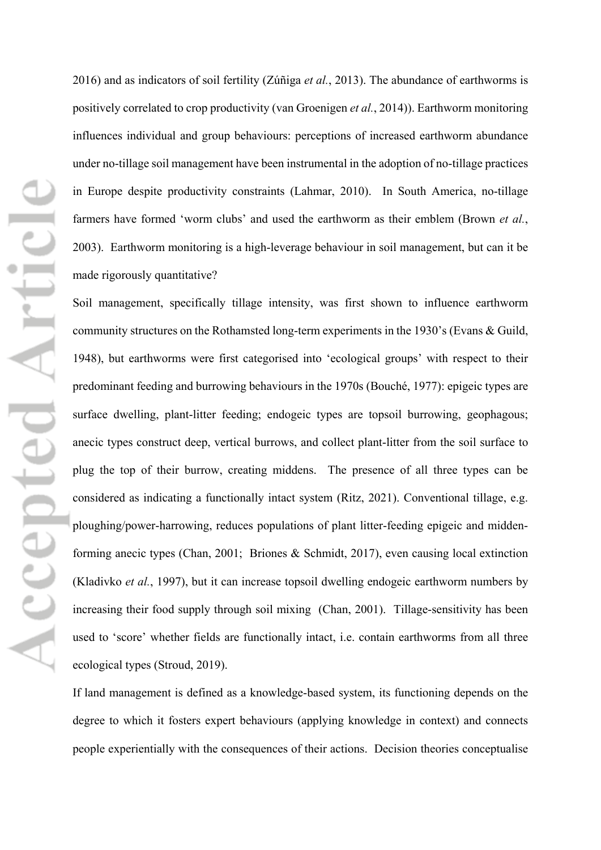2016) and as indicators of soil fertility (Zúñiga *et al.*, 2013). The abundance of earthworms is positively correlated to crop productivity (van Groenigen *et al.*, 2014)). Earthworm monitoring influences individual and group behaviours: perceptions of increased earthworm abundance under no-tillage soil management have been instrumental in the adoption of no-tillage practices in Europe despite productivity constraints (Lahmar, 2010). In South America, no-tillage farmers have formed 'worm clubs' and used the earthworm as their emblem (Brown *et al.*, 2003). Earthworm monitoring is a high-leverage behaviour in soil management, but can it be made rigorously quantitative?

Soil management, specifically tillage intensity, was first shown to influence earthworm community structures on the Rothamsted long-term experiments in the 1930's (Evans & Guild, 1948), but earthworms were first categorised into 'ecological groups' with respect to their predominant feeding and burrowing behaviours in the 1970s (Bouché, 1977): epigeic types are surface dwelling, plant-litter feeding; endogeic types are topsoil burrowing, geophagous; anecic types construct deep, vertical burrows, and collect plant-litter from the soil surface to plug the top of their burrow, creating middens. The presence of all three types can be considered as indicating a functionally intact system (Ritz, 2021). Conventional tillage, e.g. ploughing/power-harrowing, reduces populations of plant litter-feeding epigeic and middenforming anecic types (Chan, 2001; Briones & Schmidt, 2017), even causing local extinction (Kladivko *et al.*, 1997), but it can increase topsoil dwelling endogeic earthworm numbers by increasing their food supply through soil mixing (Chan, 2001). Tillage-sensitivity has been used to 'score' whether fields are functionally intact, i.e. contain earthworms from all three ecological types (Stroud, 2019).

If land management is defined as a knowledge-based system, its functioning depends on the degree to which it fosters expert behaviours (applying knowledge in context) and connects people experientially with the consequences of their actions. Decision theories conceptualise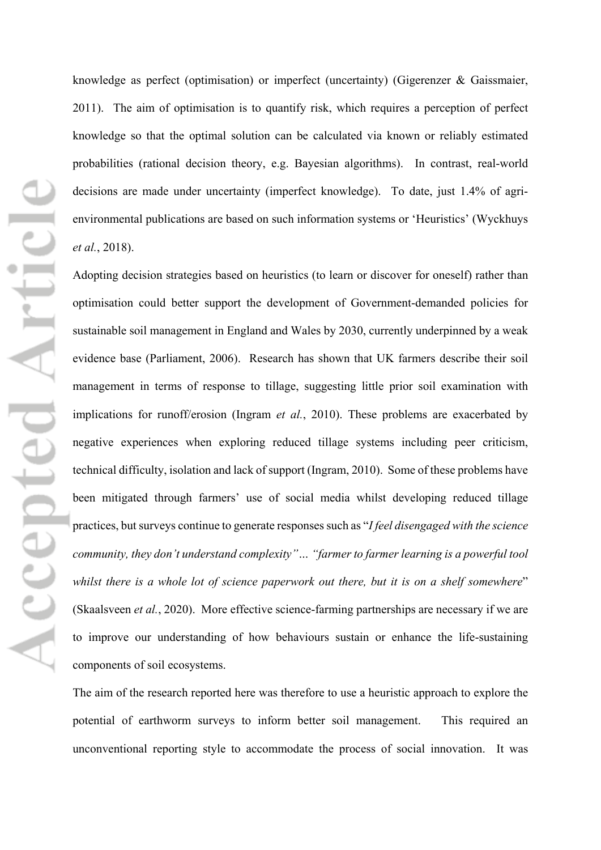Accepted Articl

knowledge as perfect (optimisation) or imperfect (uncertainty) (Gigerenzer & Gaissmaier, 2011). The aim of optimisation is to quantify risk, which requires a perception of perfect knowledge so that the optimal solution can be calculated via known or reliably estimated probabilities (rational decision theory, e.g. Bayesian algorithms). In contrast, real-world decisions are made under uncertainty (imperfect knowledge). To date, just 1.4% of agrienvironmental publications are based on such information systems or 'Heuristics' (Wyckhuys *et al.*, 2018).

Adopting decision strategies based on heuristics (to learn or discover for oneself) rather than optimisation could better support the development of Government-demanded policies for sustainable soil management in England and Wales by 2030, currently underpinned by a weak evidence base (Parliament, 2006). Research has shown that UK farmers describe their soil management in terms of response to tillage, suggesting little prior soil examination with implications for runoff/erosion (Ingram *et al.*, 2010). These problems are exacerbated by negative experiences when exploring reduced tillage systems including peer criticism, technical difficulty, isolation and lack of support (Ingram, 2010). Some of these problems have been mitigated through farmers' use of social media whilst developing reduced tillage practices, but surveys continue to generate responses such as "*I feel disengaged with the science community, they don't understand complexity"… "farmer to farmer learning is a powerful tool whilst there is a whole lot of science paperwork out there, but it is on a shelf somewhere*" (Skaalsveen *et al.*, 2020). More effective science-farming partnerships are necessary if we are to improve our understanding of how behaviours sustain or enhance the life-sustaining components of soil ecosystems.

The aim of the research reported here was therefore to use a heuristic approach to explore the potential of earthworm surveys to inform better soil management. This required an unconventional reporting style to accommodate the process of social innovation. It was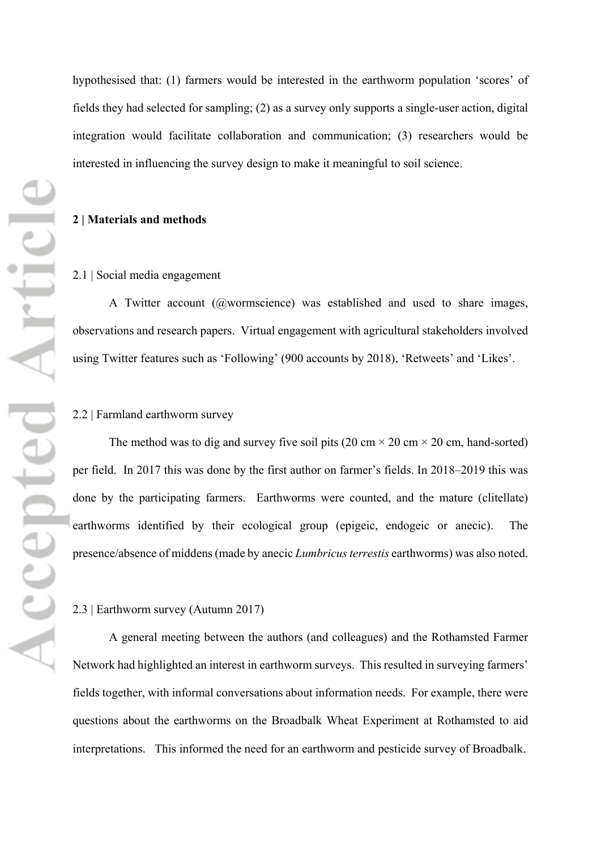hypothesised that: (1) farmers would be interested in the earthworm population 'scores' of fields they had selected for sampling; (2) as a survey only supports a single-user action, digital integration would facilitate collaboration and communication; (3) researchers would be interested in influencing the survey design to make it meaningful to soil science.

#### **2 | Materials and methods**

#### 2.1 | Social media engagement

A Twitter account (@wormscience) was established and used to share images, observations and research papers. Virtual engagement with agricultural stakeholders involved using Twitter features such as 'Following' (900 accounts by 2018), 'Retweets' and 'Likes'.

#### 2.2 | Farmland earthworm survey

The method was to dig and survey five soil pits (20 cm  $\times$  20 cm  $\times$  20 cm, hand-sorted) per field. In 2017 this was done by the first author on farmer's fields. In 2018–2019 this was done by the participating farmers. Earthworms were counted, and the mature (clitellate) earthworms identified by their ecological group (epigeic, endogeic or anecic). The presence/absence of middens (made by anecic *Lumbricus terrestis* earthworms) was also noted.

#### 2.3 | Earthworm survey (Autumn 2017)

A general meeting between the authors (and colleagues) and the Rothamsted Farmer Network had highlighted an interest in earthworm surveys. This resulted in surveying farmers' fields together, with informal conversations about information needs. For example, there were questions about the earthworms on the Broadbalk Wheat Experiment at Rothamsted to aid interpretations. This informed the need for an earthworm and pesticide survey of Broadbalk.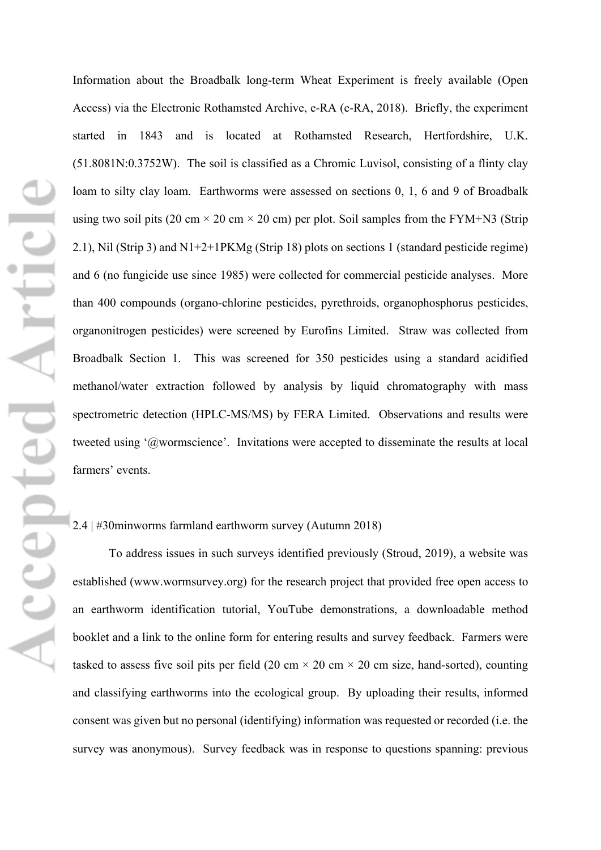Information about the Broadbalk long-term Wheat Experiment is freely available (Open Access) via the Electronic Rothamsted Archive, e-RA (e-RA, 2018). Briefly, the experiment started in 1843 and is located at Rothamsted Research, Hertfordshire, U.K. (51.8081N:0.3752W). The soil is classified as a Chromic Luvisol, consisting of a flinty clay loam to silty clay loam. Earthworms were assessed on sections 0, 1, 6 and 9 of Broadbalk using two soil pits (20 cm  $\times$  20 cm  $\times$  20 cm) per plot. Soil samples from the FYM+N3 (Strip 2.1), Nil (Strip 3) and N1+2+1PKMg (Strip 18) plots on sections 1 (standard pesticide regime) and 6 (no fungicide use since 1985) were collected for commercial pesticide analyses. More than 400 compounds (organo-chlorine pesticides, pyrethroids, organophosphorus pesticides, organonitrogen pesticides) were screened by Eurofins Limited. Straw was collected from Broadbalk Section 1. This was screened for 350 pesticides using a standard acidified methanol/water extraction followed by analysis by liquid chromatography with mass spectrometric detection (HPLC-MS/MS) by FERA Limited. Observations and results were tweeted using '@wormscience'. Invitations were accepted to disseminate the results at local farmers' events.

### 2.4 | #30minworms farmland earthworm survey (Autumn 2018)

To address issues in such surveys identified previously (Stroud, 2019), a website was established (www.wormsurvey.org) for the research project that provided free open access to an earthworm identification tutorial, YouTube demonstrations, a downloadable method booklet and a link to the online form for entering results and survey feedback. Farmers were tasked to assess five soil pits per field (20 cm  $\times$  20 cm  $\times$  20 cm size, hand-sorted), counting and classifying earthworms into the ecological group. By uploading their results, informed consent was given but no personal (identifying) information was requested or recorded (i.e. the survey was anonymous). Survey feedback was in response to questions spanning: previous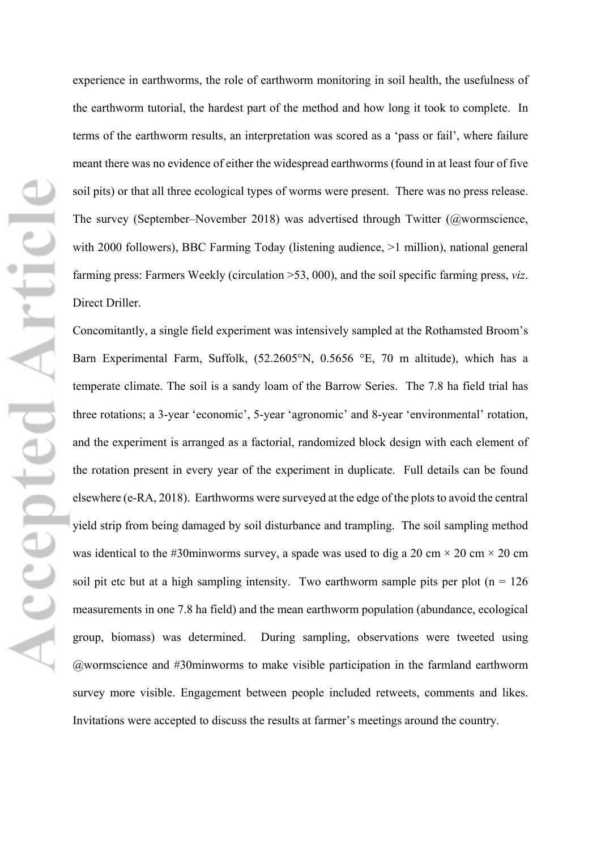experience in earthworms, the role of earthworm monitoring in soil health, the usefulness of the earthworm tutorial, the hardest part of the method and how long it took to complete. In terms of the earthworm results, an interpretation was scored as a 'pass or fail', where failure meant there was no evidence of either the widespread earthworms (found in at least four of five soil pits) or that all three ecological types of worms were present. There was no press release. The survey (September–November 2018) was advertised through Twitter (@wormscience, with 2000 followers), BBC Farming Today (listening audience,  $>1$  million), national general farming press: Farmers Weekly (circulation >53, 000), and the soil specific farming press, *viz*. Direct Driller.

Concomitantly, a single field experiment was intensively sampled at the Rothamsted Broom's Barn Experimental Farm, Suffolk, (52.2605°N, 0.5656 °E, 70 m altitude), which has a temperate climate. The soil is a sandy loam of the Barrow Series. The 7.8 ha field trial has three rotations; a 3-year 'economic', 5-year 'agronomic' and 8-year 'environmental' rotation, and the experiment is arranged as a factorial, randomized block design with each element of the rotation present in every year of the experiment in duplicate. Full details can be found elsewhere (e-RA, 2018). Earthworms were surveyed at the edge of the plots to avoid the central yield strip from being damaged by soil disturbance and trampling. The soil sampling method was identical to the #30minworms survey, a spade was used to dig a 20 cm  $\times$  20 cm  $\times$  20 cm soil pit etc but at a high sampling intensity. Two earthworm sample pits per plot  $(n = 126)$ measurements in one 7.8 ha field) and the mean earthworm population (abundance, ecological group, biomass) was determined. During sampling, observations were tweeted using @wormscience and #30minworms to make visible participation in the farmland earthworm survey more visible. Engagement between people included retweets, comments and likes. Invitations were accepted to discuss the results at farmer's meetings around the country.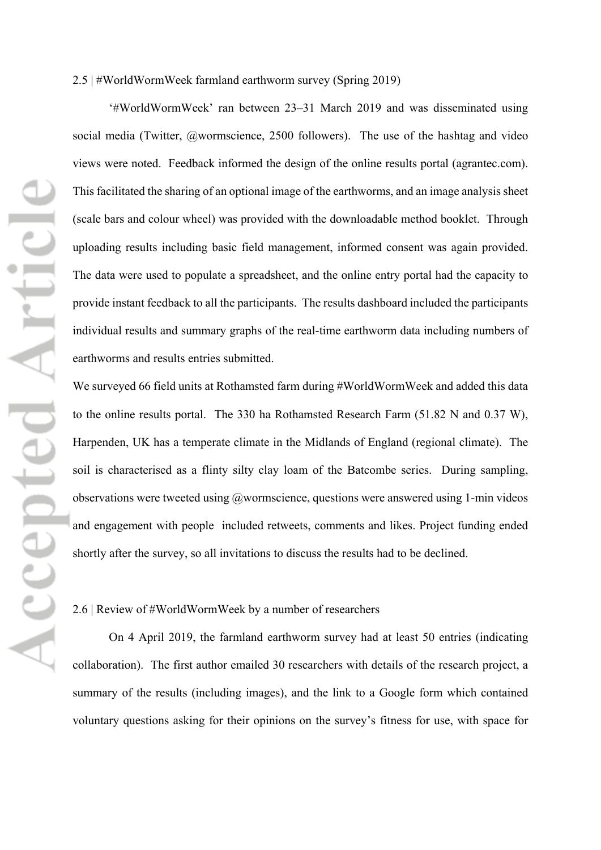'#WorldWormWeek' ran between 23–31 March 2019 and was disseminated using social media (Twitter, @wormscience, 2500 followers). The use of the hashtag and video views were noted. Feedback informed the design of the online results portal (agrantec.com). This facilitated the sharing of an optional image of the earthworms, and an image analysis sheet (scale bars and colour wheel) was provided with the downloadable method booklet. Through uploading results including basic field management, informed consent was again provided. The data were used to populate a spreadsheet, and the online entry portal had the capacity to provide instant feedback to all the participants. The results dashboard included the participants individual results and summary graphs of the real-time earthworm data including numbers of earthworms and results entries submitted.

We surveyed 66 field units at Rothamsted farm during #WorldWormWeek and added this data to the online results portal. The 330 ha Rothamsted Research Farm (51.82 N and 0.37 W), Harpenden, UK has a temperate climate in the Midlands of England (regional climate). The soil is characterised as a flinty silty clay loam of the Batcombe series. During sampling, observations were tweeted using @wormscience, questions were answered using 1-min videos and engagement with people included retweets, comments and likes. Project funding ended shortly after the survey, so all invitations to discuss the results had to be declined.

#### 2.6 | Review of #WorldWormWeek by a number of researchers

On 4 April 2019, the farmland earthworm survey had at least 50 entries (indicating collaboration). The first author emailed 30 researchers with details of the research project, a summary of the results (including images), and the link to a Google form which contained voluntary questions asking for their opinions on the survey's fitness for use, with space for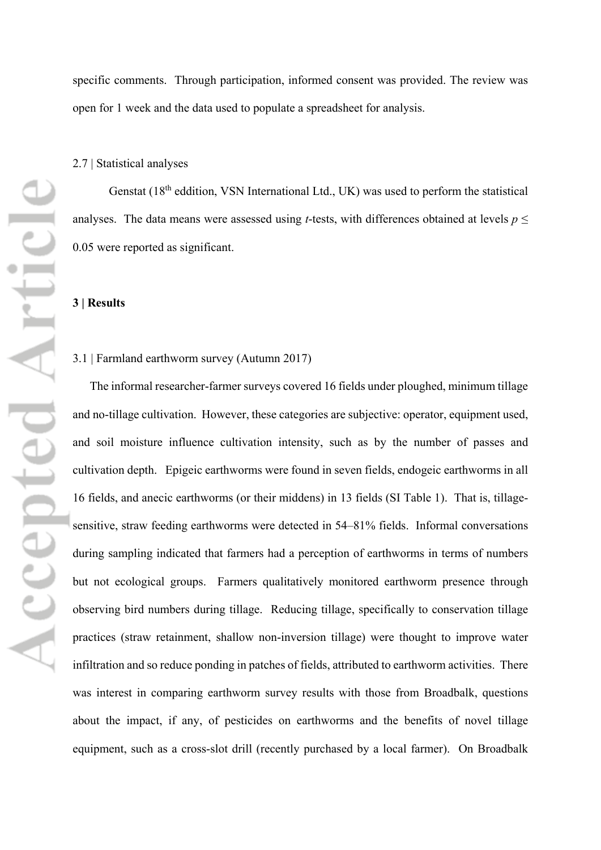specific comments. Through participation, informed consent was provided. The review was open for 1 week and the data used to populate a spreadsheet for analysis.

#### 2.7 | Statistical analyses

Genstat  $(18<sup>th</sup>$  eddition, VSN International Ltd., UK) was used to perform the statistical analyses. The data means were assessed using *t*-tests, with differences obtained at levels  $p \leq$ 0.05 were reported as significant.

#### **3 | Results**

#### 3.1 | Farmland earthworm survey (Autumn 2017)

The informal researcher-farmer surveys covered 16 fields under ploughed, minimum tillage and no-tillage cultivation. However, these categories are subjective: operator, equipment used, and soil moisture influence cultivation intensity, such as by the number of passes and cultivation depth. Epigeic earthworms were found in seven fields, endogeic earthworms in all 16 fields, and anecic earthworms (or their middens) in 13 fields (SI Table 1). That is, tillagesensitive, straw feeding earthworms were detected in 54–81% fields. Informal conversations during sampling indicated that farmers had a perception of earthworms in terms of numbers but not ecological groups. Farmers qualitatively monitored earthworm presence through observing bird numbers during tillage. Reducing tillage, specifically to conservation tillage practices (straw retainment, shallow non-inversion tillage) were thought to improve water infiltration and so reduce ponding in patches of fields, attributed to earthworm activities. There was interest in comparing earthworm survey results with those from Broadbalk, questions about the impact, if any, of pesticides on earthworms and the benefits of novel tillage equipment, such as a cross-slot drill (recently purchased by a local farmer). On Broadbalk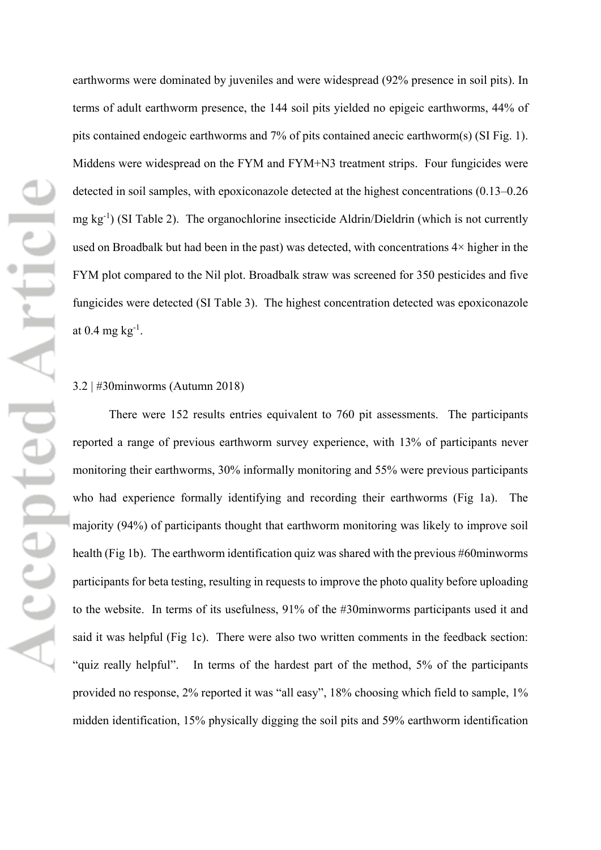earthworms were dominated by juveniles and were widespread (92% presence in soil pits). In terms of adult earthworm presence, the 144 soil pits yielded no epigeic earthworms, 44% of pits contained endogeic earthworms and 7% of pits contained anecic earthworm(s) (SI Fig. 1). Middens were widespread on the FYM and FYM+N3 treatment strips. Four fungicides were detected in soil samples, with epoxiconazole detected at the highest concentrations (0.13–0.26 mg kg<sup>-1</sup>) (SI Table 2). The organochlorine insecticide Aldrin/Dieldrin (which is not currently used on Broadbalk but had been in the past) was detected, with concentrations  $4\times$  higher in the FYM plot compared to the Nil plot. Broadbalk straw was screened for 350 pesticides and five fungicides were detected (SI Table 3). The highest concentration detected was epoxiconazole at  $0.4 \text{ mg kg}^{-1}$ .

#### 3.2 | #30minworms (Autumn 2018)

There were 152 results entries equivalent to 760 pit assessments. The participants reported a range of previous earthworm survey experience, with 13% of participants never monitoring their earthworms, 30% informally monitoring and 55% were previous participants who had experience formally identifying and recording their earthworms (Fig 1a). The majority (94%) of participants thought that earthworm monitoring was likely to improve soil health (Fig 1b). The earthworm identification quiz was shared with the previous #60minworms participants for beta testing, resulting in requests to improve the photo quality before uploading to the website. In terms of its usefulness, 91% of the #30minworms participants used it and said it was helpful (Fig 1c). There were also two written comments in the feedback section: "quiz really helpful". In terms of the hardest part of the method, 5% of the participants provided no response, 2% reported it was "all easy", 18% choosing which field to sample, 1% midden identification, 15% physically digging the soil pits and 59% earthworm identification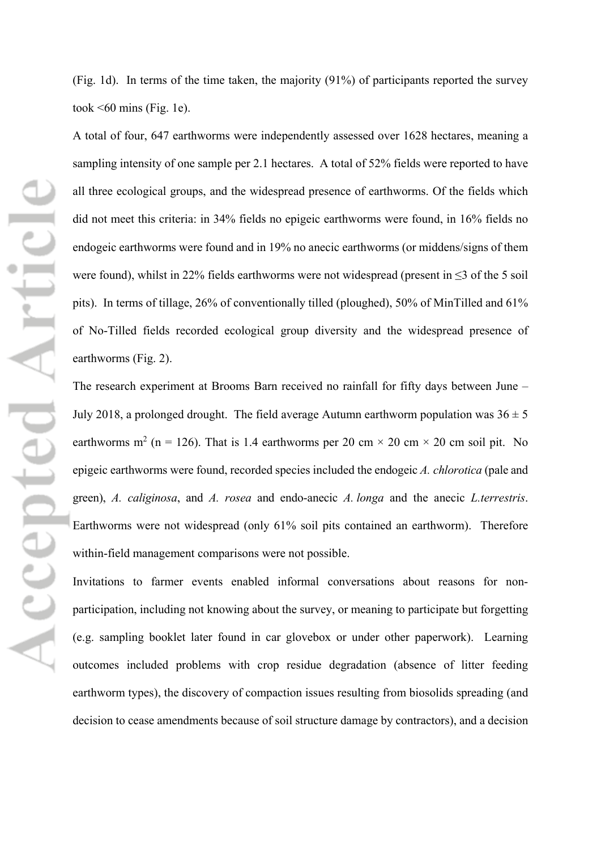(Fig. 1d). In terms of the time taken, the majority (91%) of participants reported the survey took  $\leq 60$  mins (Fig. 1e).

A total of four, 647 earthworms were independently assessed over 1628 hectares, meaning a sampling intensity of one sample per 2.1 hectares. A total of 52% fields were reported to have all three ecological groups, and the widespread presence of earthworms. Of the fields which did not meet this criteria: in 34% fields no epigeic earthworms were found, in 16% fields no endogeic earthworms were found and in 19% no anecic earthworms (or middens/signs of them were found), whilst in 22% fields earthworms were not widespread (present in ≤3 of the 5 soil pits). In terms of tillage, 26% of conventionally tilled (ploughed), 50% of MinTilled and 61% of No-Tilled fields recorded ecological group diversity and the widespread presence of earthworms (Fig. 2).

The research experiment at Brooms Barn received no rainfall for fifty days between June – July 2018, a prolonged drought. The field average Autumn earthworm population was  $36 \pm 5$ earthworms m<sup>2</sup> (n = 126). That is 1.4 earthworms per 20 cm  $\times$  20 cm  $\times$  20 cm soil pit. No epigeic earthworms were found, recorded species included the endogeic *A. chlorotica* (pale and green), *A. caliginosa*, and *A. rosea* and endo-anecic *A. longa* and the anecic *L.terrestris*. Earthworms were not widespread (only 61% soil pits contained an earthworm). Therefore within-field management comparisons were not possible.

Invitations to farmer events enabled informal conversations about reasons for nonparticipation, including not knowing about the survey, or meaning to participate but forgetting (e.g. sampling booklet later found in car glovebox or under other paperwork). Learning outcomes included problems with crop residue degradation (absence of litter feeding earthworm types), the discovery of compaction issues resulting from biosolids spreading (and decision to cease amendments because of soil structure damage by contractors), and a decision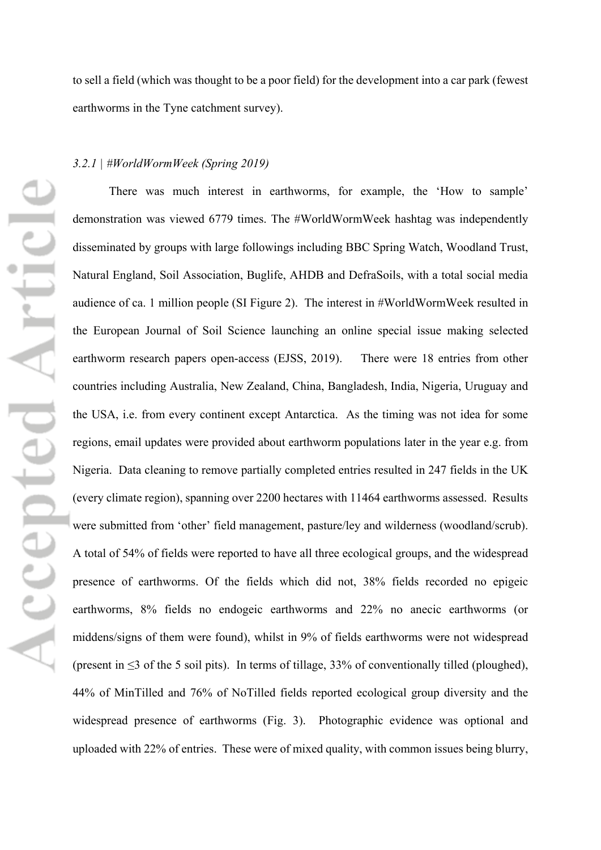to sell a field (which was thought to be a poor field) for the development into a car park (fewest earthworms in the Tyne catchment survey).

#### *3.2.1 | #WorldWormWeek (Spring 2019)*

There was much interest in earthworms, for example, the 'How to sample' demonstration was viewed 6779 times. The #WorldWormWeek hashtag was independently disseminated by groups with large followings including BBC Spring Watch, Woodland Trust, Natural England, Soil Association, Buglife, AHDB and DefraSoils, with a total social media audience of ca. 1 million people (SI Figure 2). The interest in #WorldWormWeek resulted in the European Journal of Soil Science launching an online special issue making selected earthworm research papers open-access (EJSS, 2019). There were 18 entries from other countries including Australia, New Zealand, China, Bangladesh, India, Nigeria, Uruguay and the USA, i.e. from every continent except Antarctica. As the timing was not idea for some regions, email updates were provided about earthworm populations later in the year e.g. from Nigeria. Data cleaning to remove partially completed entries resulted in 247 fields in the UK (every climate region), spanning over 2200 hectares with 11464 earthworms assessed. Results were submitted from 'other' field management, pasture/ley and wilderness (woodland/scrub). A total of 54% of fields were reported to have all three ecological groups, and the widespread presence of earthworms. Of the fields which did not, 38% fields recorded no epigeic earthworms, 8% fields no endogeic earthworms and 22% no anecic earthworms (or middens/signs of them were found), whilst in 9% of fields earthworms were not widespread (present in ≤3 of the 5 soil pits). In terms of tillage, 33% of conventionally tilled (ploughed), 44% of MinTilled and 76% of NoTilled fields reported ecological group diversity and the widespread presence of earthworms (Fig. 3). Photographic evidence was optional and uploaded with 22% of entries. These were of mixed quality, with common issues being blurry,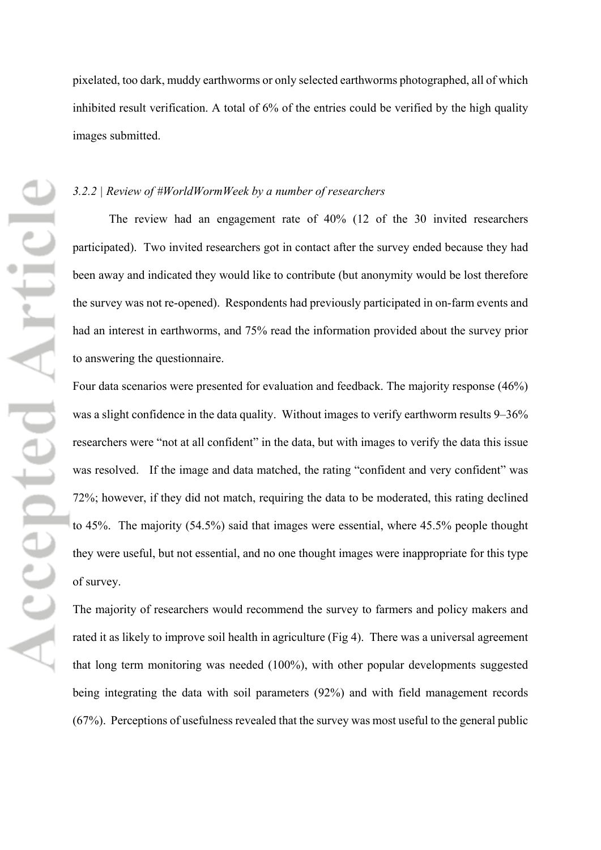pixelated, too dark, muddy earthworms or only selected earthworms photographed, all of which inhibited result verification. A total of 6% of the entries could be verified by the high quality images submitted.

#### *3.2.2 | Review of #WorldWormWeek by a number of researchers*

The review had an engagement rate of 40% (12 of the 30 invited researchers participated). Two invited researchers got in contact after the survey ended because they had been away and indicated they would like to contribute (but anonymity would be lost therefore the survey was not re-opened). Respondents had previously participated in on-farm events and had an interest in earthworms, and 75% read the information provided about the survey prior to answering the questionnaire.

Four data scenarios were presented for evaluation and feedback. The majority response (46%) was a slight confidence in the data quality. Without images to verify earthworm results 9–36% researchers were "not at all confident" in the data, but with images to verify the data this issue was resolved. If the image and data matched, the rating "confident and very confident" was 72%; however, if they did not match, requiring the data to be moderated, this rating declined to 45%. The majority (54.5%) said that images were essential, where 45.5% people thought they were useful, but not essential, and no one thought images were inappropriate for this type of survey.

The majority of researchers would recommend the survey to farmers and policy makers and rated it as likely to improve soil health in agriculture (Fig 4). There was a universal agreement that long term monitoring was needed (100%), with other popular developments suggested being integrating the data with soil parameters (92%) and with field management records (67%). Perceptions of usefulness revealed that the survey was most useful to the general public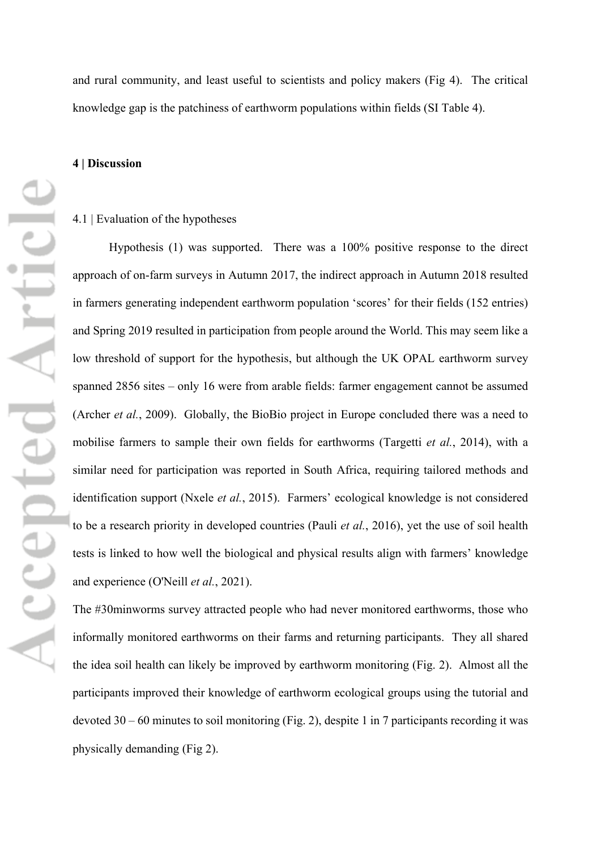and rural community, and least useful to scientists and policy makers (Fig 4). The critical knowledge gap is the patchiness of earthworm populations within fields (SI Table 4).

#### **4 | Discussion**

#### 4.1 | Evaluation of the hypotheses

Hypothesis (1) was supported. There was a 100% positive response to the direct approach of on-farm surveys in Autumn 2017, the indirect approach in Autumn 2018 resulted in farmers generating independent earthworm population 'scores' for their fields (152 entries) and Spring 2019 resulted in participation from people around the World. This may seem like a low threshold of support for the hypothesis, but although the UK OPAL earthworm survey spanned 2856 sites – only 16 were from arable fields: farmer engagement cannot be assumed (Archer *et al.*, 2009). Globally, the BioBio project in Europe concluded there was a need to mobilise farmers to sample their own fields for earthworms (Targetti *et al.*, 2014), with a similar need for participation was reported in South Africa, requiring tailored methods and identification support (Nxele *et al.*, 2015). Farmers' ecological knowledge is not considered to be a research priority in developed countries (Pauli *et al.*, 2016), yet the use of soil health tests is linked to how well the biological and physical results align with farmers' knowledge and experience (O'Neill *et al.*, 2021).

The #30minworms survey attracted people who had never monitored earthworms, those who informally monitored earthworms on their farms and returning participants. They all shared the idea soil health can likely be improved by earthworm monitoring (Fig. 2). Almost all the participants improved their knowledge of earthworm ecological groups using the tutorial and devoted 30 – 60 minutes to soil monitoring (Fig. 2), despite 1 in 7 participants recording it was physically demanding (Fig 2).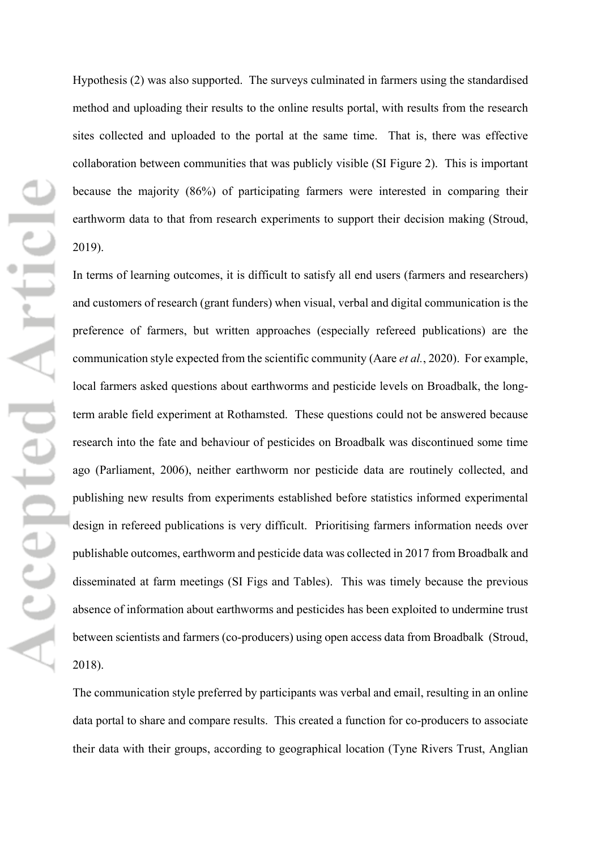Hypothesis (2) was also supported. The surveys culminated in farmers using the standardised method and uploading their results to the online results portal, with results from the research sites collected and uploaded to the portal at the same time. That is, there was effective collaboration between communities that was publicly visible (SI Figure 2). This is important because the majority (86%) of participating farmers were interested in comparing their earthworm data to that from research experiments to support their decision making (Stroud, 2019).

In terms of learning outcomes, it is difficult to satisfy all end users (farmers and researchers) and customers of research (grant funders) when visual, verbal and digital communication is the preference of farmers, but written approaches (especially refereed publications) are the communication style expected from the scientific community (Aare *et al.*, 2020). For example, local farmers asked questions about earthworms and pesticide levels on Broadbalk, the longterm arable field experiment at Rothamsted. These questions could not be answered because research into the fate and behaviour of pesticides on Broadbalk was discontinued some time ago (Parliament, 2006), neither earthworm nor pesticide data are routinely collected, and publishing new results from experiments established before statistics informed experimental design in refereed publications is very difficult. Prioritising farmers information needs over publishable outcomes, earthworm and pesticide data was collected in 2017 from Broadbalk and disseminated at farm meetings (SI Figs and Tables). This was timely because the previous absence of information about earthworms and pesticides has been exploited to undermine trust between scientists and farmers (co-producers) using open access data from Broadbalk (Stroud, 2018).

The communication style preferred by participants was verbal and email, resulting in an online data portal to share and compare results. This created a function for co-producers to associate their data with their groups, according to geographical location (Tyne Rivers Trust, Anglian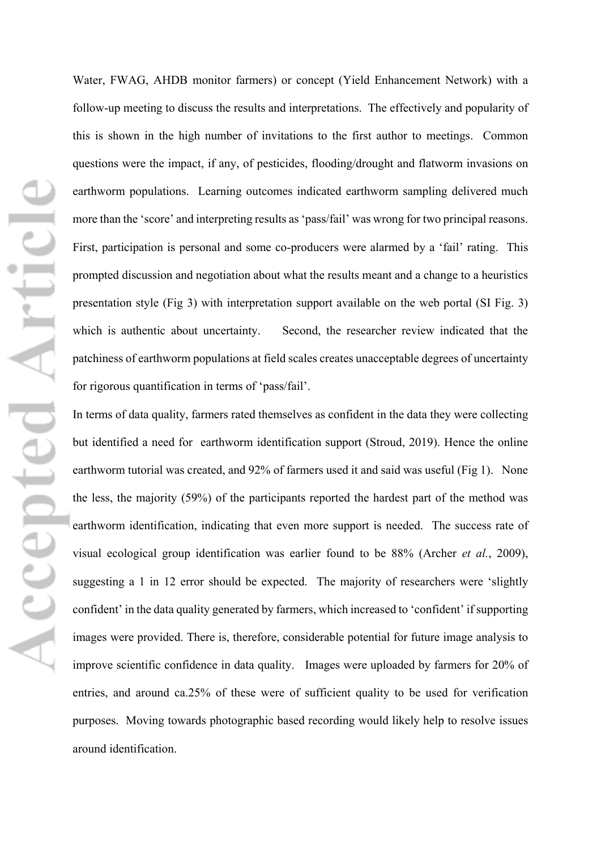Water, FWAG, AHDB monitor farmers) or concept (Yield Enhancement Network) with a follow-up meeting to discuss the results and interpretations. The effectively and popularity of this is shown in the high number of invitations to the first author to meetings. Common questions were the impact, if any, of pesticides, flooding/drought and flatworm invasions on earthworm populations. Learning outcomes indicated earthworm sampling delivered much more than the 'score' and interpreting results as 'pass/fail' was wrong for two principal reasons. First, participation is personal and some co-producers were alarmed by a 'fail' rating. This prompted discussion and negotiation about what the results meant and a change to a heuristics presentation style (Fig 3) with interpretation support available on the web portal (SI Fig. 3) which is authentic about uncertainty. Second, the researcher review indicated that the patchiness of earthworm populations at field scales creates unacceptable degrees of uncertainty for rigorous quantification in terms of 'pass/fail'.

In terms of data quality, farmers rated themselves as confident in the data they were collecting but identified a need for earthworm identification support (Stroud, 2019). Hence the online earthworm tutorial was created, and 92% of farmers used it and said was useful (Fig 1). None the less, the majority (59%) of the participants reported the hardest part of the method was earthworm identification, indicating that even more support is needed. The success rate of visual ecological group identification was earlier found to be 88% (Archer *et al.*, 2009), suggesting a 1 in 12 error should be expected. The majority of researchers were 'slightly confident' in the data quality generated by farmers, which increased to 'confident' if supporting images were provided. There is, therefore, considerable potential for future image analysis to improve scientific confidence in data quality. Images were uploaded by farmers for 20% of entries, and around ca.25% of these were of sufficient quality to be used for verification purposes. Moving towards photographic based recording would likely help to resolve issues around identification.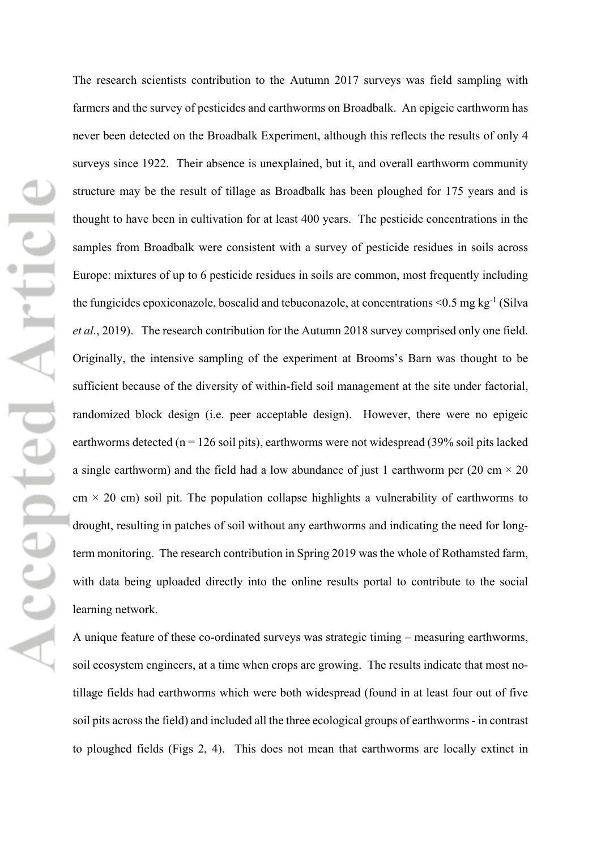The research scientists contribution to the Autumn 2017 surveys was field sampling with farmers and the survey of pesticides and earthworms on Broadbalk. An epigeic earthworm has never been detected on the Broadbalk Experiment, although this reflects the results of only 4 surveys since 1922. Their absence is unexplained, but it, and overall earthworm community structure may be the result of tillage as Broadbalk has been ploughed for 175 years and is thought to have been in cultivation for at least 400 years. The pesticide concentrations in the samples from Broadbalk were consistent with a survey of pesticide residues in soils across Europe: mixtures of up to 6 pesticide residues in soils are common, most frequently including the fungicides epoxiconazole, boscalid and tebuconazole, at concentrations  $\leq 0.5$  mg kg<sup>-1</sup> (Silva *et al.*, 2019). The research contribution for the Autumn 2018 survey comprised only one field. Originally, the intensive sampling of the experiment at Brooms's Barn was thought to be sufficient because of the diversity of within-field soil management at the site under factorial, randomized block design (i.e. peer acceptable design). However, there were no epigeic earthworms detected ( $n = 126$  soil pits), earthworms were not widespread (39% soil pits lacked a single earthworm) and the field had a low abundance of just 1 earthworm per (20 cm  $\times$  20  $cm \times 20$  cm) soil pit. The population collapse highlights a vulnerability of earthworms to drought, resulting in patches of soil without any earthworms and indicating the need for longterm monitoring. The research contribution in Spring 2019 was the whole of Rothamsted farm, with data being uploaded directly into the online results portal to contribute to the social learning network.

A unique feature of these co-ordinated surveys was strategic timing – measuring earthworms, soil ecosystem engineers, at a time when crops are growing. The results indicate that most notillage fields had earthworms which were both widespread (found in at least four out of five soil pits across the field) and included all the three ecological groups of earthworms - in contrast to ploughed fields (Figs 2, 4). This does not mean that earthworms are locally extinct in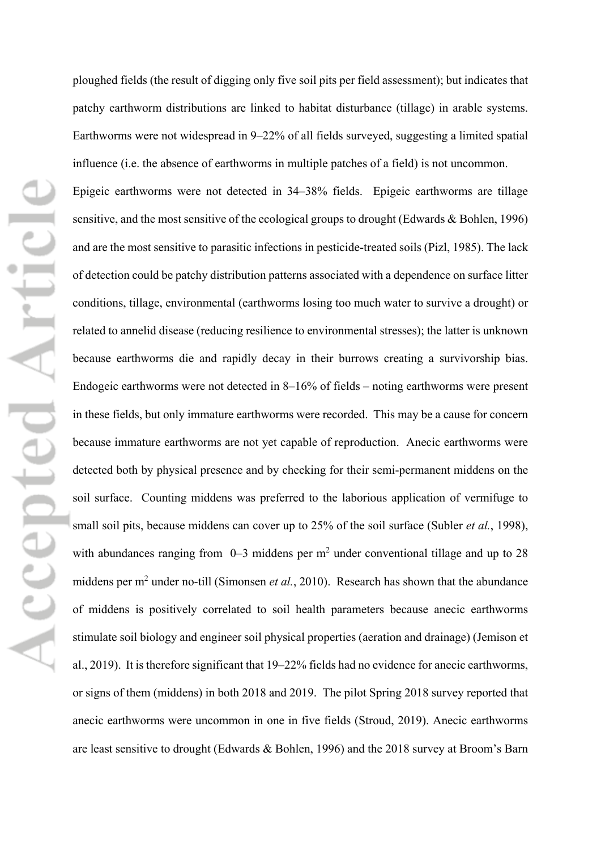ploughed fields (the result of digging only five soil pits per field assessment); but indicates that patchy earthworm distributions are linked to habitat disturbance (tillage) in arable systems. Earthworms were not widespread in 9–22% of all fields surveyed, suggesting a limited spatial influence (i.e. the absence of earthworms in multiple patches of a field) is not uncommon. Epigeic earthworms were not detected in 34–38% fields. Epigeic earthworms are tillage sensitive, and the most sensitive of the ecological groups to drought (Edwards & Bohlen, 1996) and are the most sensitive to parasitic infections in pesticide-treated soils (Pizl, 1985). The lack of detection could be patchy distribution patterns associated with a dependence on surface litter conditions, tillage, environmental (earthworms losing too much water to survive a drought) or related to annelid disease (reducing resilience to environmental stresses); the latter is unknown because earthworms die and rapidly decay in their burrows creating a survivorship bias. Endogeic earthworms were not detected in 8–16% of fields – noting earthworms were present in these fields, but only immature earthworms were recorded. This may be a cause for concern because immature earthworms are not yet capable of reproduction. Anecic earthworms were detected both by physical presence and by checking for their semi-permanent middens on the soil surface. Counting middens was preferred to the laborious application of vermifuge to small soil pits, because middens can cover up to 25% of the soil surface (Subler *et al.*, 1998), with abundances ranging from  $0-3$  middens per m<sup>2</sup> under conventional tillage and up to 28 middens per m<sup>2</sup> under no-till (Simonsen *et al.*, 2010). Research has shown that the abundance of middens is positively correlated to soil health parameters because anecic earthworms stimulate soil biology and engineer soil physical properties (aeration and drainage) (Jemison et al., 2019). It is therefore significant that 19–22% fields had no evidence for anecic earthworms, or signs of them (middens) in both 2018 and 2019. The pilot Spring 2018 survey reported that anecic earthworms were uncommon in one in five fields (Stroud, 2019). Anecic earthworms are least sensitive to drought (Edwards & Bohlen, 1996) and the 2018 survey at Broom's Barn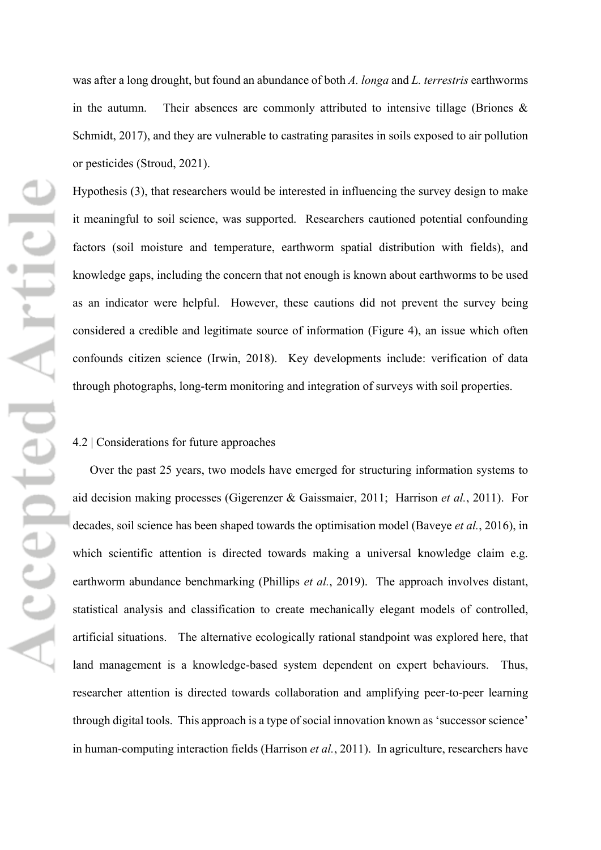was after a long drought, but found an abundance of both *A. longa* and *L. terrestris* earthworms in the autumn. Their absences are commonly attributed to intensive tillage (Briones  $\&$ Schmidt, 2017), and they are vulnerable to castrating parasites in soils exposed to air pollution or pesticides (Stroud, 2021).

Hypothesis (3), that researchers would be interested in influencing the survey design to make it meaningful to soil science, was supported. Researchers cautioned potential confounding factors (soil moisture and temperature, earthworm spatial distribution with fields), and knowledge gaps, including the concern that not enough is known about earthworms to be used as an indicator were helpful. However, these cautions did not prevent the survey being considered a credible and legitimate source of information (Figure 4), an issue which often confounds citizen science (Irwin, 2018). Key developments include: verification of data through photographs, long-term monitoring and integration of surveys with soil properties.

#### 4.2 | Considerations for future approaches

Over the past 25 years, two models have emerged for structuring information systems to aid decision making processes (Gigerenzer & Gaissmaier, 2011; Harrison *et al.*, 2011). For decades, soil science has been shaped towards the optimisation model (Baveye *et al.*, 2016), in which scientific attention is directed towards making a universal knowledge claim e.g. earthworm abundance benchmarking (Phillips *et al.*, 2019). The approach involves distant, statistical analysis and classification to create mechanically elegant models of controlled, artificial situations. The alternative ecologically rational standpoint was explored here, that land management is a knowledge-based system dependent on expert behaviours. Thus, researcher attention is directed towards collaboration and amplifying peer-to-peer learning through digital tools. This approach is a type of social innovation known as 'successor science' in human-computing interaction fields (Harrison *et al.*, 2011). In agriculture, researchers have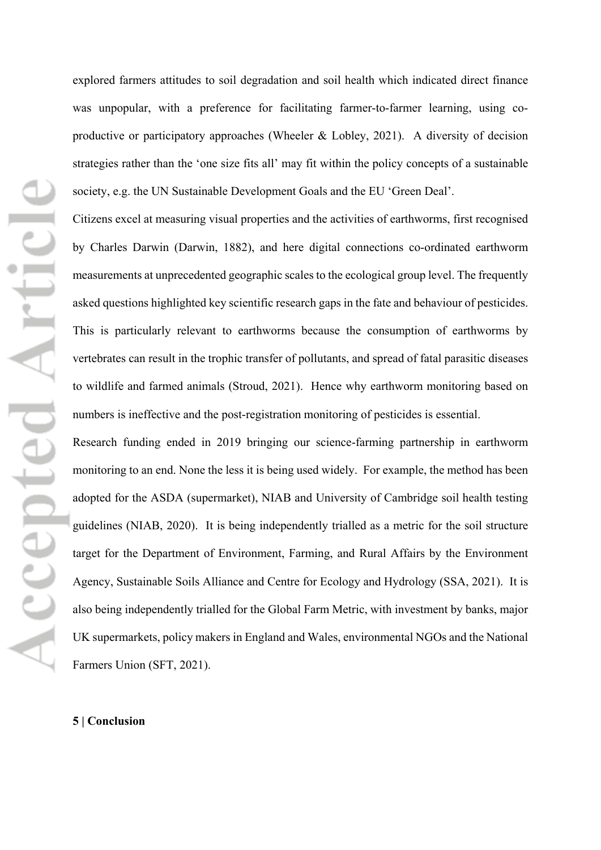explored farmers attitudes to soil degradation and soil health which indicated direct finance was unpopular, with a preference for facilitating farmer-to-farmer learning, using coproductive or participatory approaches (Wheeler & Lobley, 2021). A diversity of decision strategies rather than the 'one size fits all' may fit within the policy concepts of a sustainable society, e.g. the UN Sustainable Development Goals and the EU 'Green Deal'.

Citizens excel at measuring visual properties and the activities of earthworms, first recognised by Charles Darwin (Darwin, 1882), and here digital connections co-ordinated earthworm measurements at unprecedented geographic scales to the ecological group level. The frequently asked questions highlighted key scientific research gaps in the fate and behaviour of pesticides. This is particularly relevant to earthworms because the consumption of earthworms by vertebrates can result in the trophic transfer of pollutants, and spread of fatal parasitic diseases to wildlife and farmed animals (Stroud, 2021). Hence why earthworm monitoring based on numbers is ineffective and the post-registration monitoring of pesticides is essential.

Research funding ended in 2019 bringing our science-farming partnership in earthworm monitoring to an end. None the less it is being used widely. For example, the method has been adopted for the ASDA (supermarket), NIAB and University of Cambridge soil health testing guidelines (NIAB, 2020). It is being independently trialled as a metric for the soil structure target for the Department of Environment, Farming, and Rural Affairs by the Environment Agency, Sustainable Soils Alliance and Centre for Ecology and Hydrology (SSA, 2021). It is also being independently trialled for the Global Farm Metric, with investment by banks, major UK supermarkets, policy makers in England and Wales, environmental NGOs and the National Farmers Union (SFT, 2021).

#### **5 | Conclusion**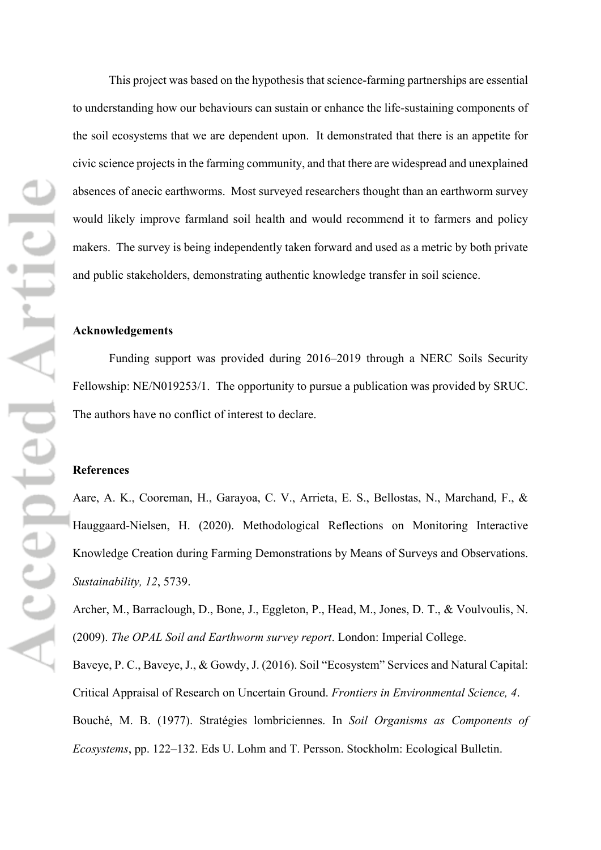This project was based on the hypothesis that science-farming partnerships are essential to understanding how our behaviours can sustain or enhance the life-sustaining components of the soil ecosystems that we are dependent upon. It demonstrated that there is an appetite for civic science projects in the farming community, and that there are widespread and unexplained absences of anecic earthworms. Most surveyed researchers thought than an earthworm survey would likely improve farmland soil health and would recommend it to farmers and policy makers. The survey is being independently taken forward and used as a metric by both private and public stakeholders, demonstrating authentic knowledge transfer in soil science.

#### **Acknowledgements**

Funding support was provided during 2016–2019 through a NERC Soils Security Fellowship: NE/N019253/1. The opportunity to pursue a publication was provided by SRUC. The authors have no conflict of interest to declare.

#### **References**

Aare, A. K., Cooreman, H., Garayoa, C. V., Arrieta, E. S., Bellostas, N., Marchand, F., & Hauggaard-Nielsen, H. (2020). Methodological Reflections on Monitoring Interactive Knowledge Creation during Farming Demonstrations by Means of Surveys and Observations. *Sustainability, 12*, 5739.

Archer, M., Barraclough, D., Bone, J., Eggleton, P., Head, M., Jones, D. T., & Voulvoulis, N. (2009). *The OPAL Soil and Earthworm survey report*. London: Imperial College.

Baveye, P. C., Baveye, J., & Gowdy, J. (2016). Soil "Ecosystem" Services and Natural Capital: Critical Appraisal of Research on Uncertain Ground. *Frontiers in Environmental Science, 4*. Bouché, M. B. (1977). Stratégies lombriciennes. In *Soil Organisms as Components of Ecosystems*, pp. 122–132. Eds U. Lohm and T. Persson. Stockholm: Ecological Bulletin.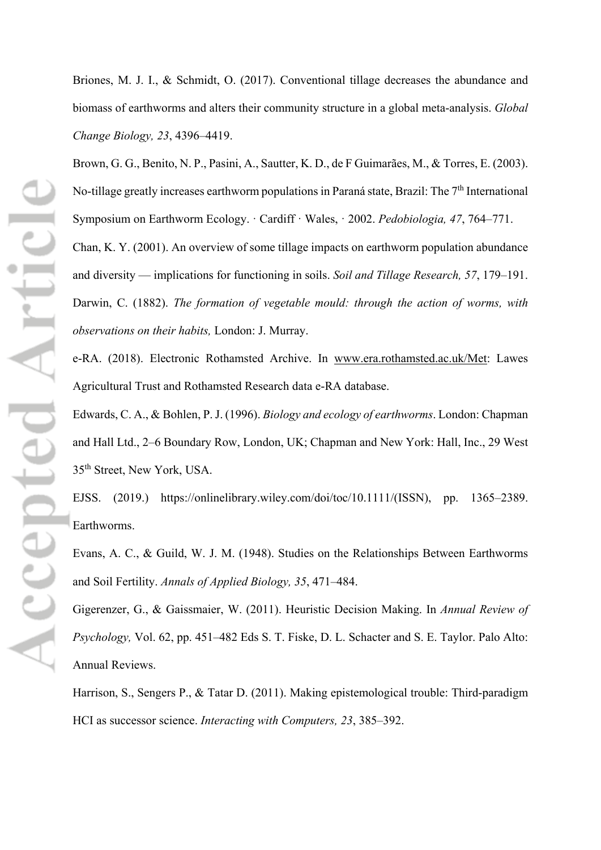Briones, M. J. I., & Schmidt, O. (2017). Conventional tillage decreases the abundance and biomass of earthworms and alters their community structure in a global meta-analysis. *Global Change Biology, 23*, 4396–4419.

Brown, G. G., Benito, N. P., Pasini, A., Sautter, K. D., de F Guimarães, M., & Torres, E. (2003). No-tillage greatly increases earthworm populations in Paraná state, Brazil: The 7th International Symposium on Earthworm Ecology. · Cardiff · Wales, · 2002. *Pedobiologia, 47*, 764–771.

Chan, K. Y. (2001). An overview of some tillage impacts on earthworm population abundance and diversity — implications for functioning in soils. *Soil and Tillage Research, 57*, 179–191. Darwin, C. (1882). *The formation of vegetable mould: through the action of worms, with observations on their habits,* London: J. Murray.

e-RA. (2018). Electronic Rothamsted Archive. In www.era.rothamsted.ac.uk/Met: Lawes Agricultural Trust and Rothamsted Research data e-RA database.

Edwards, C. A., & Bohlen, P. J. (1996). *Biology and ecology of earthworms*. London: Chapman and Hall Ltd., 2–6 Boundary Row, London, UK; Chapman and New York: Hall, Inc., 29 West 35th Street, New York, USA.

EJSS. (2019.) https://onlinelibrary.wiley.com/doi/toc/10.1111/(ISSN), pp. 1365–2389. Earthworms.

Evans, A. C., & Guild, W. J. M. (1948). Studies on the Relationships Between Earthworms and Soil Fertility. *Annals of Applied Biology, 35*, 471–484.

Gigerenzer, G., & Gaissmaier, W. (2011). Heuristic Decision Making. In *Annual Review of Psychology,* Vol. 62, pp. 451–482 Eds S. T. Fiske, D. L. Schacter and S. E. Taylor. Palo Alto: Annual Reviews.

Harrison, S., Sengers P., & Tatar D. (2011). Making epistemological trouble: Third-paradigm HCI as successor science. *Interacting with Computers, 23*, 385–392.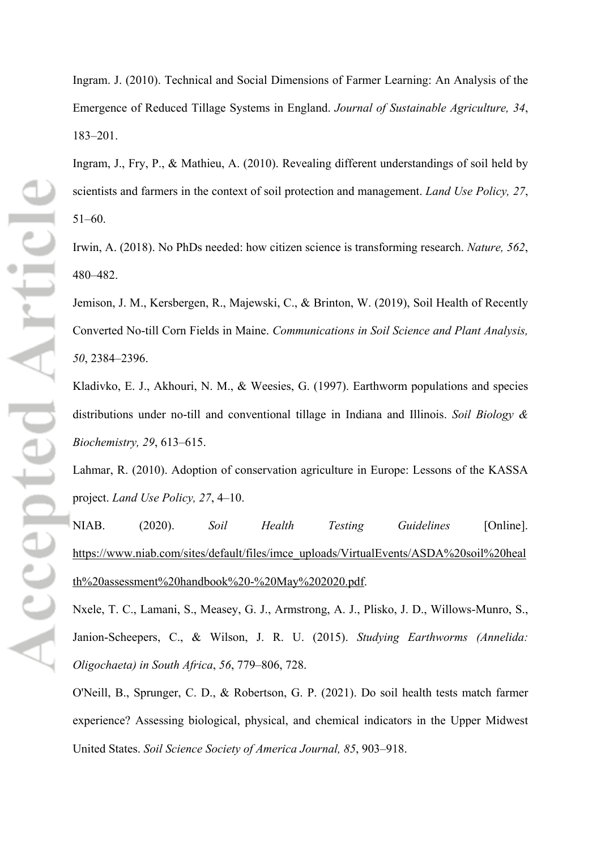Ingram. J. (2010). Technical and Social Dimensions of Farmer Learning: An Analysis of the Emergence of Reduced Tillage Systems in England. *Journal of Sustainable Agriculture, 34*, 183–201.

Ingram, J., Fry, P., & Mathieu, A. (2010). Revealing different understandings of soil held by scientists and farmers in the context of soil protection and management. *Land Use Policy, 27*, 51–60.

Irwin, A. (2018). No PhDs needed: how citizen science is transforming research. *Nature, 562*, 480–482.

Jemison, J. M., Kersbergen, R., Majewski, C., & Brinton, W. (2019), Soil Health of Recently Converted No-till Corn Fields in Maine. *Communications in Soil Science and Plant Analysis, 50*, 2384–2396.

Kladivko, E. J., Akhouri, N. M., & Weesies, G. (1997). Earthworm populations and species distributions under no-till and conventional tillage in Indiana and Illinois. *Soil Biology & Biochemistry, 29*, 613–615.

Lahmar, R. (2010). Adoption of conservation agriculture in Europe: Lessons of the KASSA project. *Land Use Policy, 27*, 4–10.

NIAB. (2020). *Soil Health Testing Guidelines* [Online]. [https://www.niab.com/sites/default/files/imce\\_uploads/VirtualEvents/ASDA%20soil%20heal](https://www.niab.com/sites/default/files/imce_uploads/VirtualEvents/ASDA%20soil%20health%20assessment%20handbook%20-%20May%202020.pdf) [th%20assessment%20handbook%20-%20May%202020.pdf.](https://www.niab.com/sites/default/files/imce_uploads/VirtualEvents/ASDA%20soil%20health%20assessment%20handbook%20-%20May%202020.pdf)

Nxele, T. C., Lamani, S., Measey, G. J., Armstrong, A. J., Plisko, J. D., Willows-Munro, S., Janion-Scheepers, C., & Wilson, J. R. U. (2015). *Studying Earthworms (Annelida: Oligochaeta) in South Africa*, *56*, 779–806, 728.

O'Neill, B., Sprunger, C. D., & Robertson, G. P. (2021). Do soil health tests match farmer experience? Assessing biological, physical, and chemical indicators in the Upper Midwest United States. *Soil Science Society of America Journal, 85*, 903–918.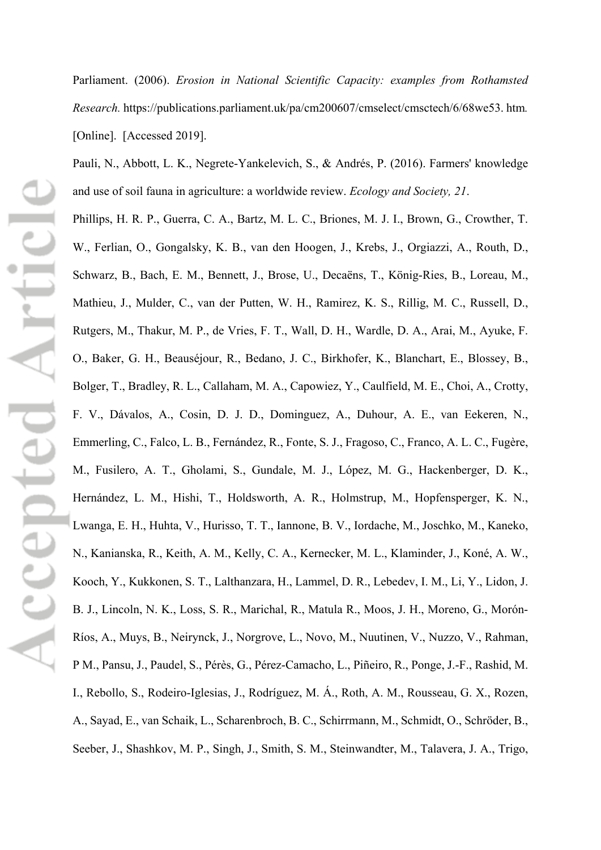Parliament. (2006). *Erosion in National Scientific Capacity: examples from Rothamsted Research.* https://publications.parliament.uk/pa/cm200607/cmselect/cmsctech/6/68we53. htm*.* [Online]. [Accessed 2019].

Pauli, N., Abbott, L. K., Negrete-Yankelevich, S., & Andrés, P. (2016). Farmers' knowledge and use of soil fauna in agriculture: a worldwide review. *Ecology and Society, 21*.

Phillips, H. R. P., Guerra, C. A., Bartz, M. L. C., Briones, M. J. I., Brown, G., Crowther, T. W., Ferlian, O., Gongalsky, K. B., van den Hoogen, J., Krebs, J., Orgiazzi, A., Routh, D., Schwarz, B., Bach, E. M., Bennett, J., Brose, U., Decaëns, T., König-Ries, B., Loreau, M., Mathieu, J., Mulder, C., van der Putten, W. H., Ramirez, K. S., Rillig, M. C., Russell, D., Rutgers, M., Thakur, M. P., de Vries, F. T., Wall, D. H., Wardle, D. A., Arai, M., Ayuke, F. O., Baker, G. H., Beauséjour, R., Bedano, J. C., Birkhofer, K., Blanchart, E., Blossey, B., Bolger, T., Bradley, R. L., Callaham, M. A., Capowiez, Y., Caulfield, M. E., Choi, A., Crotty, F. V., Dávalos, A., Cosin, D. J. D., Dominguez, A., Duhour, A. E., van Eekeren, N., Emmerling, C., Falco, L. B., Fernández, R., Fonte, S. J., Fragoso, C., Franco, A. L. C., Fugère, M., Fusilero, A. T., Gholami, S., Gundale, M. J., López, M. G., Hackenberger, D. K., Hernández, L. M., Hishi, T., Holdsworth, A. R., Holmstrup, M., Hopfensperger, K. N., Lwanga, E. H., Huhta, V., Hurisso, T. T., Iannone, B. V., Iordache, M., Joschko, M., Kaneko, N., Kanianska, R., Keith, A. M., Kelly, C. A., Kernecker, M. L., Klaminder, J., Koné, A. W., Kooch, Y., Kukkonen, S. T., Lalthanzara, H., Lammel, D. R., Lebedev, I. M., Li, Y., Lidon, J. B. J., Lincoln, N. K., Loss, S. R., Marichal, R., Matula R., Moos, J. H., Moreno, G., Morón-Ríos, A., Muys, B., Neirynck, J., Norgrove, L., Novo, M., Nuutinen, V., Nuzzo, V., Rahman, P M., Pansu, J., Paudel, S., Pérès, G., Pérez-Camacho, L., Piñeiro, R., Ponge, J.-F., Rashid, M. I., Rebollo, S., Rodeiro-Iglesias, J., Rodríguez, M. Á., Roth, A. M., Rousseau, G. X., Rozen, A., Sayad, E., van Schaik, L., Scharenbroch, B. C., Schirrmann, M., Schmidt, O., Schröder, B., Seeber, J., Shashkov, M. P., Singh, J., Smith, S. M., Steinwandter, M., Talavera, J. A., Trigo,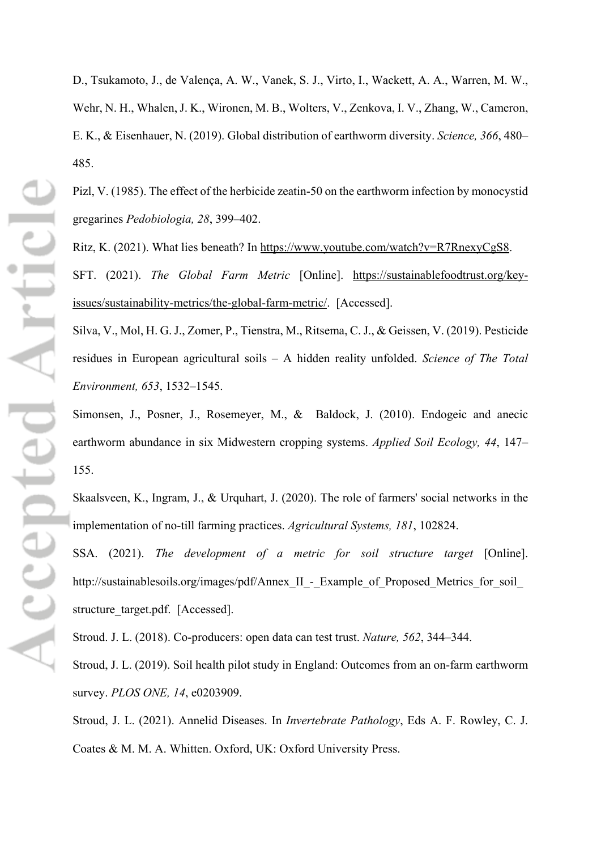D., Tsukamoto, J., de Valença, A. W., Vanek, S. J., Virto, I., Wackett, A. A., Warren, M. W., Wehr, N. H., Whalen, J. K., Wironen, M. B., Wolters, V., Zenkova, I. V., Zhang, W., Cameron, E. K., & Eisenhauer, N. (2019). Global distribution of earthworm diversity. *Science, 366*, 480– 485.

Pizl, V. (1985). The effect of the herbicide zeatin-50 on the earthworm infection by monocystid gregarines *Pedobiologia, 28*, 399–402.

Ritz, K. (2021). What lies beneath? In [https://www.youtube.com/watch?v=R7RnexyCgS8.](https://www.youtube.com/watch?v=R7RnexyCgS8) SFT. (2021). *The Global Farm Metric* [Online]. [https://sustainablefoodtrust.org/key](https://sustainablefoodtrust.org/key-issues/sustainability-metrics/the-global-farm-metric/)[issues/sustainability-metrics/the-global-farm-metric/.](https://sustainablefoodtrust.org/key-issues/sustainability-metrics/the-global-farm-metric/) [Accessed].

Silva, V., Mol, H. G. J., Zomer, P., Tienstra, M., Ritsema, C. J., & Geissen, V. (2019). Pesticide residues in European agricultural soils – A hidden reality unfolded. *Science of The Total Environment, 653*, 1532–1545.

Simonsen, J., Posner, J., Rosemeyer, M., & Baldock, J. (2010). Endogeic and anecic earthworm abundance in six Midwestern cropping systems. *Applied Soil Ecology, 44*, 147– 155.

Skaalsveen, K., Ingram, J., & Urquhart, J. (2020). The role of farmers' social networks in the implementation of no-till farming practices. *Agricultural Systems, 181*, 102824.

SSA. (2021). *The development of a metric for soil structure target* [Online]. http://sustainablesoils.org/images/pdf/Annex\_II\_-\_Example\_of\_Proposed\_Metrics\_for\_soil\_ structure target.pdf. [Accessed].

Stroud. J. L. (2018). Co-producers: open data can test trust. *Nature, 562*, 344–344.

Stroud, J. L. (2019). Soil health pilot study in England: Outcomes from an on-farm earthworm survey. *PLOS ONE, 14*, e0203909.

Stroud, J. L. (2021). Annelid Diseases. In *Invertebrate Pathology*, Eds A. F. Rowley, C. J. Coates & M. M. A. Whitten. Oxford, UK: Oxford University Press.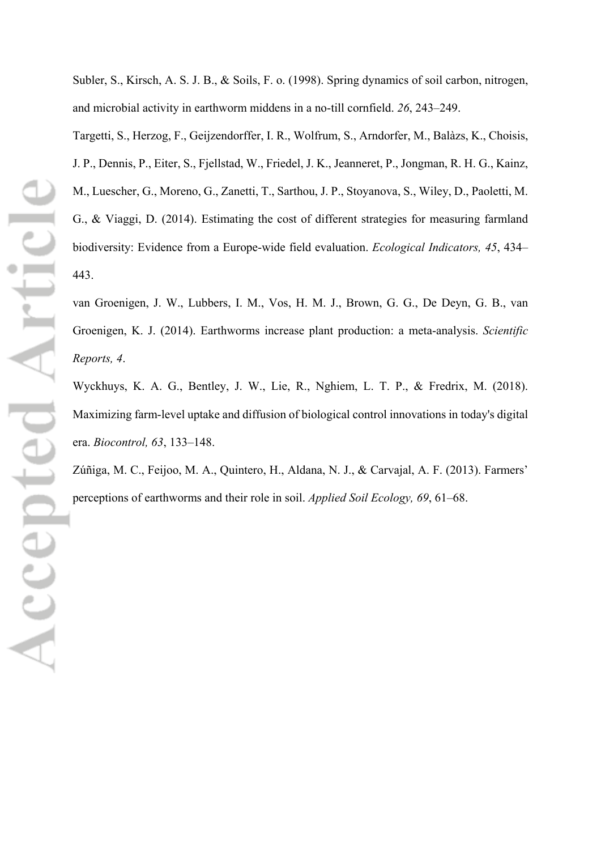Subler, S., Kirsch, A. S. J. B., & Soils, F. o. (1998). Spring dynamics of soil carbon, nitrogen, and microbial activity in earthworm middens in a no-till cornfield. *26*, 243–249.

Targetti, S., Herzog, F., Geijzendorffer, I. R., Wolfrum, S., Arndorfer, M., Balàzs, K., Choisis, J. P., Dennis, P., Eiter, S., Fjellstad, W., Friedel, J. K., Jeanneret, P., Jongman, R. H. G., Kainz, M., Luescher, G., Moreno, G., Zanetti, T., Sarthou, J. P., Stoyanova, S., Wiley, D., Paoletti, M. G., & Viaggi, D. (2014). Estimating the cost of different strategies for measuring farmland biodiversity: Evidence from a Europe-wide field evaluation. *Ecological Indicators, 45*, 434– 443.

van Groenigen, J. W., Lubbers, I. M., Vos, H. M. J., Brown, G. G., De Deyn, G. B., van Groenigen, K. J. (2014). Earthworms increase plant production: a meta-analysis. *Scientific Reports, 4*.

Wyckhuys, K. A. G., Bentley, J. W., Lie, R., Nghiem, L. T. P., & Fredrix, M. (2018). Maximizing farm-level uptake and diffusion of biological control innovations in today's digital era. *Biocontrol, 63*, 133–148.

Zúñiga, M. C., Feijoo, M. A., Quintero, H., Aldana, N. J., & Carvajal, A. F. (2013). Farmers' perceptions of earthworms and their role in soil. *Applied Soil Ecology, 69*, 61–68.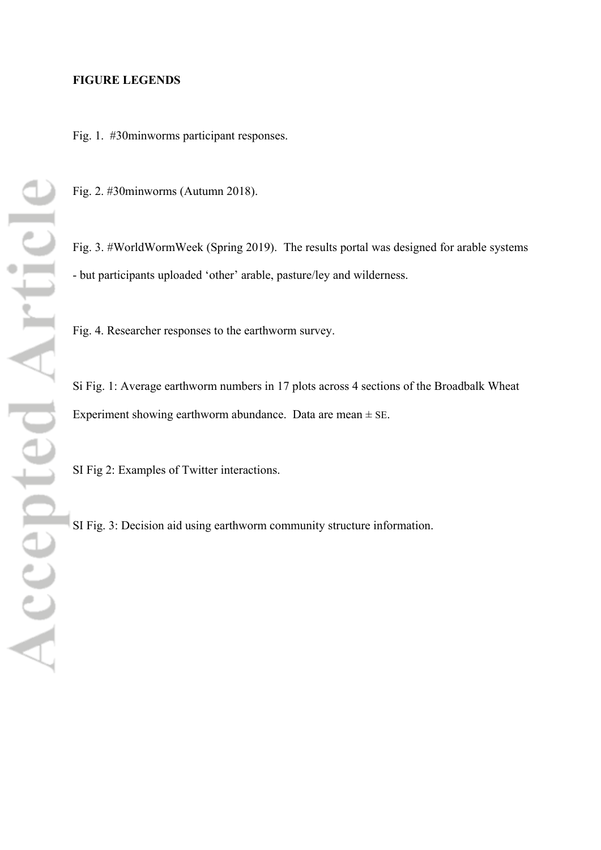#### **FIGURE LEGENDS**

Fig. 1. #30minworms participant responses.

Fig. 2. #30minworms (Autumn 2018).

Fig. 3. #WorldWormWeek (Spring 2019). The results portal was designed for arable systems - but participants uploaded 'other' arable, pasture/ley and wilderness.

Fig. 4. Researcher responses to the earthworm survey.

Si Fig. 1: Average earthworm numbers in 17 plots across 4 sections of the Broadbalk Wheat Experiment showing earthworm abundance. Data are mean  $\pm$  SE.

SI Fig 2: Examples of Twitter interactions.

SI Fig. 3: Decision aid using earthworm community structure information.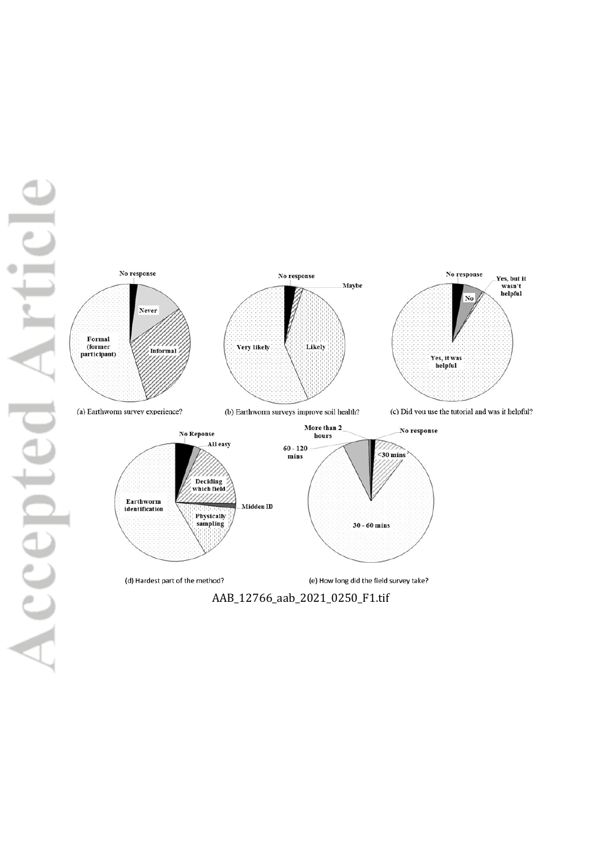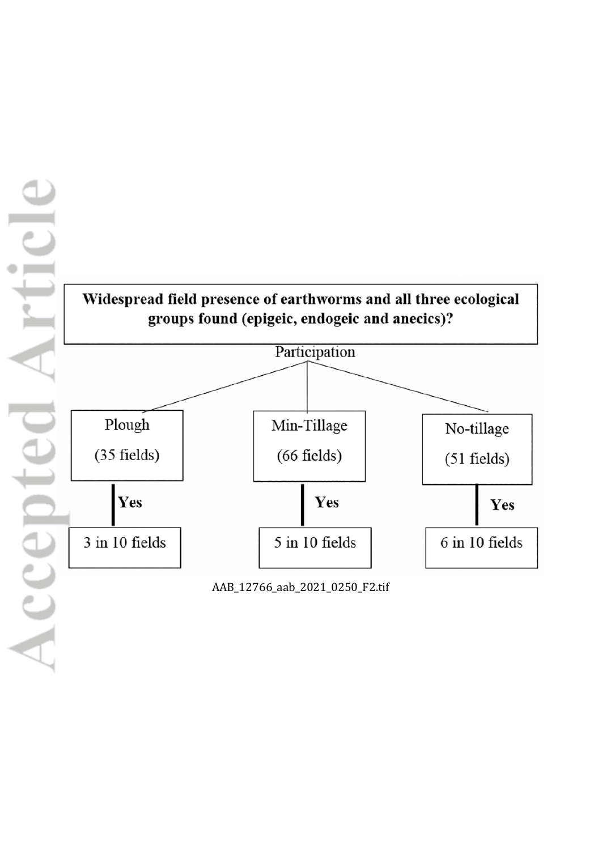

Yes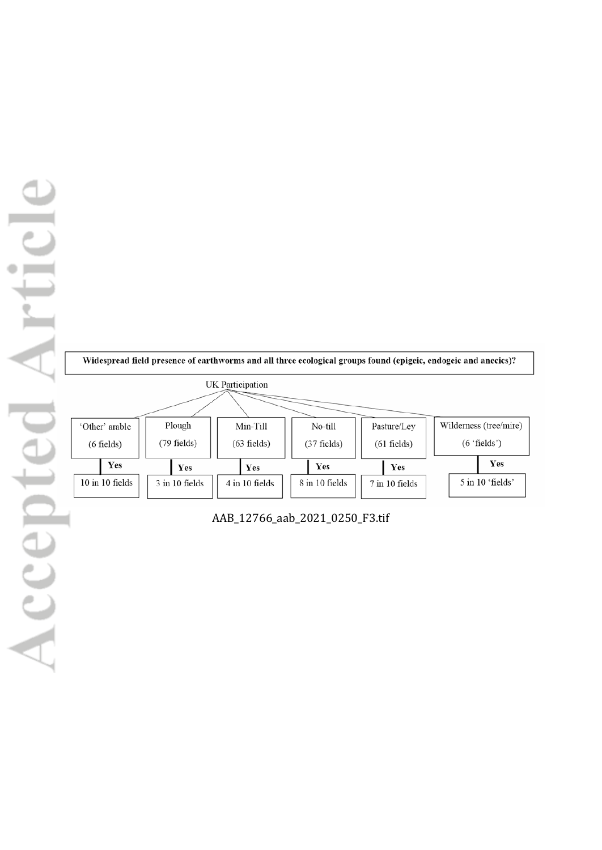

AAB\_12766\_aab\_2021\_0250\_F3.tif